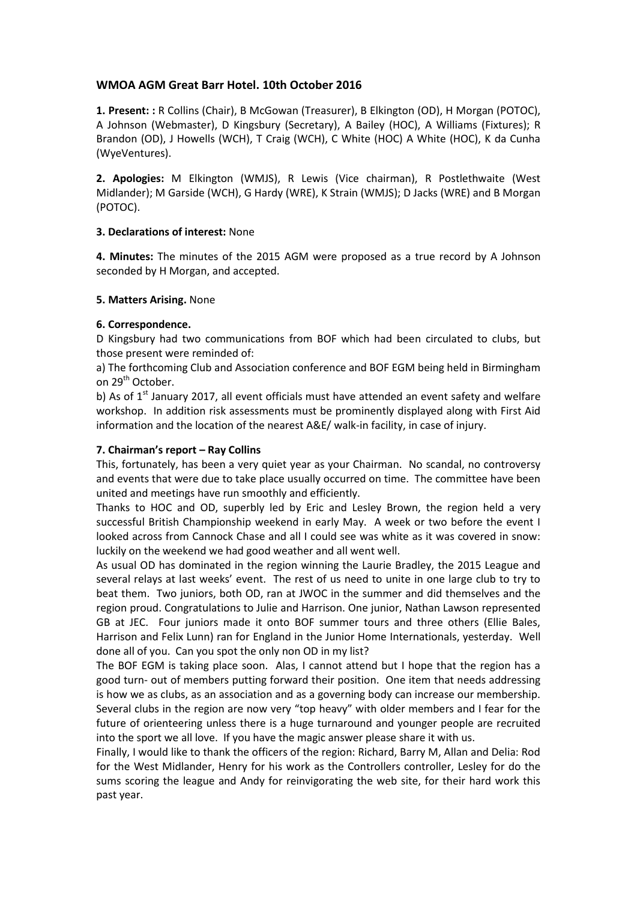# **WMOA AGM Great Barr Hotel. 10th October 2016**

**1. Present: :** R Collins (Chair), B McGowan (Treasurer), B Elkington (OD), H Morgan (POTOC), A Johnson (Webmaster), D Kingsbury (Secretary), A Bailey (HOC), A Williams (Fixtures); R Brandon (OD), J Howells (WCH), T Craig (WCH), C White (HOC) A White (HOC), K da Cunha (WyeVentures).

**2. Apologies:** M Elkington (WMJS), R Lewis (Vice chairman), R Postlethwaite (West Midlander); M Garside (WCH), G Hardy (WRE), K Strain (WMJS); D Jacks (WRE) and B Morgan (POTOC).

## **3. Declarations of interest:** None

**4. Minutes:** The minutes of the 2015 AGM were proposed as a true record by A Johnson seconded by H Morgan, and accepted.

## **5. Matters Arising.** None

# **6. Correspondence.**

D Kingsbury had two communications from BOF which had been circulated to clubs, but those present were reminded of:

a) The forthcoming Club and Association conference and BOF EGM being held in Birmingham on 29<sup>th</sup> October.

b) As of  $1<sup>st</sup>$  January 2017, all event officials must have attended an event safety and welfare workshop. In addition risk assessments must be prominently displayed along with First Aid information and the location of the nearest A&E/ walk-in facility, in case of injury.

# **7. Chairman's report – Ray Collins**

This, fortunately, has been a very quiet year as your Chairman. No scandal, no controversy and events that were due to take place usually occurred on time. The committee have been united and meetings have run smoothly and efficiently.

Thanks to HOC and OD, superbly led by Eric and Lesley Brown, the region held a very successful British Championship weekend in early May. A week or two before the event I looked across from Cannock Chase and all I could see was white as it was covered in snow: luckily on the weekend we had good weather and all went well.

As usual OD has dominated in the region winning the Laurie Bradley, the 2015 League and several relays at last weeks' event. The rest of us need to unite in one large club to try to beat them. Two juniors, both OD, ran at JWOC in the summer and did themselves and the region proud. Congratulations to Julie and Harrison. One junior, Nathan Lawson represented GB at JEC. Four juniors made it onto BOF summer tours and three others (Ellie Bales, Harrison and Felix Lunn) ran for England in the Junior Home Internationals, yesterday. Well done all of you. Can you spot the only non OD in my list?

The BOF EGM is taking place soon. Alas, I cannot attend but I hope that the region has a good turn- out of members putting forward their position. One item that needs addressing is how we as clubs, as an association and as a governing body can increase our membership. Several clubs in the region are now very "top heavy" with older members and I fear for the future of orienteering unless there is a huge turnaround and younger people are recruited into the sport we all love. If you have the magic answer please share it with us.

Finally, I would like to thank the officers of the region: Richard, Barry M, Allan and Delia: Rod for the West Midlander, Henry for his work as the Controllers controller, Lesley for do the sums scoring the league and Andy for reinvigorating the web site, for their hard work this past year.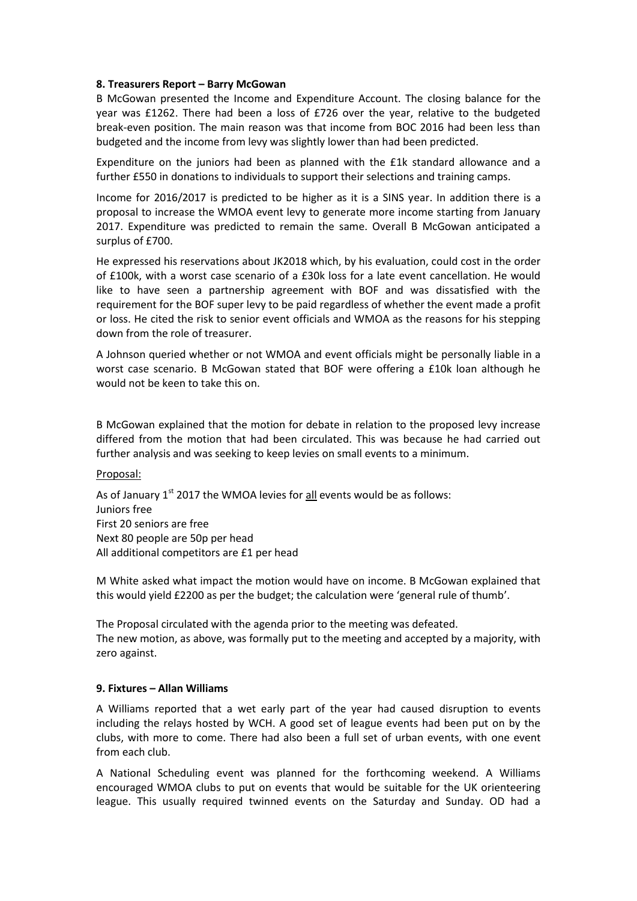#### **8. Treasurers Report – Barry McGowan**

B McGowan presented the Income and Expenditure Account. The closing balance for the year was £1262. There had been a loss of £726 over the year, relative to the budgeted break-even position. The main reason was that income from BOC 2016 had been less than budgeted and the income from levy was slightly lower than had been predicted.

Expenditure on the juniors had been as planned with the £1k standard allowance and a further £550 in donations to individuals to support their selections and training camps.

Income for 2016/2017 is predicted to be higher as it is a SINS year. In addition there is a proposal to increase the WMOA event levy to generate more income starting from January 2017. Expenditure was predicted to remain the same. Overall B McGowan anticipated a surplus of £700.

He expressed his reservations about JK2018 which, by his evaluation, could cost in the order of £100k, with a worst case scenario of a £30k loss for a late event cancellation. He would like to have seen a partnership agreement with BOF and was dissatisfied with the requirement for the BOF super levy to be paid regardless of whether the event made a profit or loss. He cited the risk to senior event officials and WMOA as the reasons for his stepping down from the role of treasurer.

A Johnson queried whether or not WMOA and event officials might be personally liable in a worst case scenario. B McGowan stated that BOF were offering a £10k loan although he would not be keen to take this on.

B McGowan explained that the motion for debate in relation to the proposed levy increase differed from the motion that had been circulated. This was because he had carried out further analysis and was seeking to keep levies on small events to a minimum.

#### Proposal:

As of January  $1^{st}$  2017 the WMOA levies for  $all$  events would be as follows: Juniors free First 20 seniors are free Next 80 people are 50p per head All additional competitors are £1 per head

M White asked what impact the motion would have on income. B McGowan explained that this would yield £2200 as per the budget; the calculation were 'general rule of thumb'.

The Proposal circulated with the agenda prior to the meeting was defeated. The new motion, as above, was formally put to the meeting and accepted by a majority, with zero against.

## **9. Fixtures – Allan Williams**

A Williams reported that a wet early part of the year had caused disruption to events including the relays hosted by WCH. A good set of league events had been put on by the clubs, with more to come. There had also been a full set of urban events, with one event from each club.

A National Scheduling event was planned for the forthcoming weekend. A Williams encouraged WMOA clubs to put on events that would be suitable for the UK orienteering league. This usually required twinned events on the Saturday and Sunday. OD had a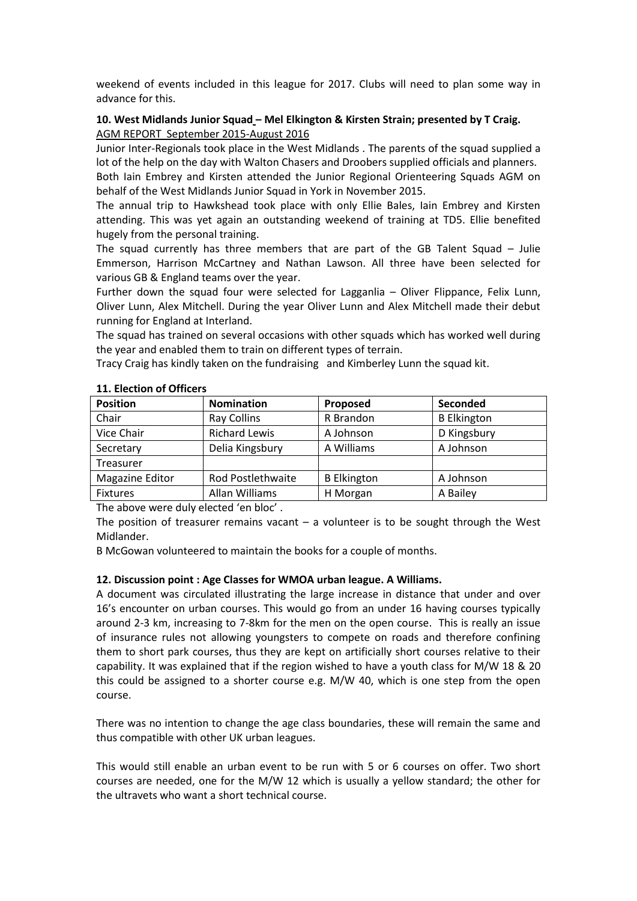weekend of events included in this league for 2017. Clubs will need to plan some way in advance for this.

# **10. West Midlands Junior Squad – Mel Elkington & Kirsten Strain; presented by T Craig.** AGM REPORT September 2015-August 2016

Junior Inter-Regionals took place in the West Midlands . The parents of the squad supplied a lot of the help on the day with Walton Chasers and Droobers supplied officials and planners.

Both Iain Embrey and Kirsten attended the Junior Regional Orienteering Squads AGM on behalf of the West Midlands Junior Squad in York in November 2015.

The annual trip to Hawkshead took place with only Ellie Bales, Iain Embrey and Kirsten attending. This was yet again an outstanding weekend of training at TD5. Ellie benefited hugely from the personal training.

The squad currently has three members that are part of the GB Talent Squad – Julie Emmerson, Harrison McCartney and Nathan Lawson. All three have been selected for various GB & England teams over the year.

Further down the squad four were selected for Lagganlia – Oliver Flippance, Felix Lunn, Oliver Lunn, Alex Mitchell. During the year Oliver Lunn and Alex Mitchell made their debut running for England at Interland.

The squad has trained on several occasions with other squads which has worked well during the year and enabled them to train on different types of terrain.

Tracy Craig has kindly taken on the fundraising and Kimberley Lunn the squad kit.

| <b>Position</b>  | <b>Nomination</b>    | Proposed           | Seconded           |
|------------------|----------------------|--------------------|--------------------|
| Chair            | <b>Ray Collins</b>   | R Brandon          | <b>B</b> Elkington |
| Vice Chair       | <b>Richard Lewis</b> | A Johnson          | D Kingsbury        |
| Secretary        | Delia Kingsbury      | A Williams         | A Johnson          |
| <b>Treasurer</b> |                      |                    |                    |
| Magazine Editor  | Rod Postlethwaite    | <b>B</b> Elkington | A Johnson          |
| <b>Fixtures</b>  | Allan Williams       | H Morgan           | A Bailey           |

#### **11. Election of Officers**

The above were duly elected 'en bloc' .

The position of treasurer remains vacant  $-$  a volunteer is to be sought through the West Midlander.

B McGowan volunteered to maintain the books for a couple of months.

## **12. Discussion point : Age Classes for WMOA urban league. A Williams.**

A document was circulated illustrating the large increase in distance that under and over 16's encounter on urban courses. This would go from an under 16 having courses typically around 2-3 km, increasing to 7-8km for the men on the open course. This is really an issue of insurance rules not allowing youngsters to compete on roads and therefore confining them to short park courses, thus they are kept on artificially short courses relative to their capability. It was explained that if the region wished to have a youth class for M/W 18 & 20 this could be assigned to a shorter course e.g. M/W 40, which is one step from the open course.

There was no intention to change the age class boundaries, these will remain the same and thus compatible with other UK urban leagues.

This would still enable an urban event to be run with 5 or 6 courses on offer. Two short courses are needed, one for the M/W 12 which is usually a yellow standard; the other for the ultravets who want a short technical course.